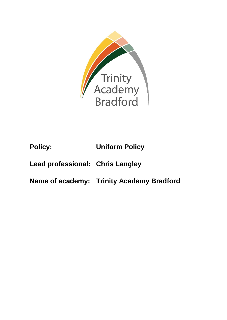

# **Policy: Uniform Policy**

## **Lead professional: Chris Langley**

**Name of academy: Trinity Academy Bradford**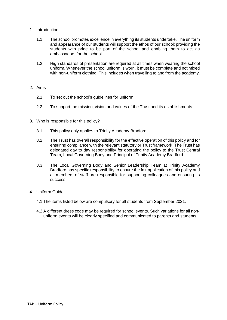#### 1. Introduction

- 1.1 The school promotes excellence in everything its students undertake. The uniform and appearance of our students will support the ethos of our school; providing the students with pride to be part of the school and enabling them to act as ambassadors for the school.
- 1.2 High standards of presentation are required at all times when wearing the school uniform. Whenever the school uniform is worn, it must be complete and not mixed with non-uniform clothing. This includes when travelling to and from the academy.

#### 2. Aims

- 2.1 To set out the school's guidelines for uniform.
- 2.2 To support the mission, vision and values of the Trust and its establishments.
- 3. Who is responsible for this policy?
	- 3.1 This policy only applies to Trinity Academy Bradford.
	- 3.2 The Trust has overall responsibility for the effective operation of this policy and for ensuring compliance with the relevant statutory or Trust framework. The Trust has delegated day to day responsibility for operating the policy to the Trust Central Team, Local Governing Body and Principal of Trinity Academy Bradford.
	- 3.3 The Local Governing Body and Senior Leadership Team at Trinity Academy Bradford has specific responsibility to ensure the fair application of this policy and all members of staff are responsible for supporting colleagues and ensuring its success.
- 4. Uniform Guide
	- 4.1 The items listed below are compulsory for all students from September 2021.
	- 4.2 A different dress code may be required for school events. Such variations for all nonuniform events will be clearly specified and communicated to parents and students.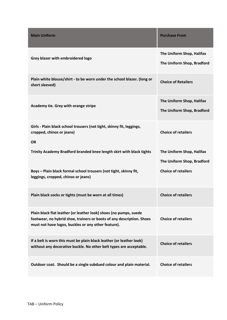| <b>Main Uniform</b>                                                                                                                                                                               | <b>Purchase From</b>                                    |
|---------------------------------------------------------------------------------------------------------------------------------------------------------------------------------------------------|---------------------------------------------------------|
| Grey blazer with embroidered logo                                                                                                                                                                 | The Uniform Shop, Halifax<br>The Uniform Shop, Bradford |
| Plain white blouse/shirt - to be worn under the school blazer. (long or<br>short sleeved)                                                                                                         | <b>Choice of Retailers</b>                              |
| Academy tie. Grey with orange stripe                                                                                                                                                              | The Uniform Shop, Halifax<br>The Uniform Shop, Bradford |
| Girls - Plain black school trousers (not tight, skinny fit, leggings,<br>cropped, chinos or jeans)<br><b>OR</b>                                                                                   | <b>Choice of retailers</b>                              |
| Trinity Academy Bradford branded knee length skirt with black tights                                                                                                                              | The Uniform Shop, Halifax<br>The Uniform Shop, Bradford |
| Boys - Plain black formal school trousers (not tight, skinny fit,<br>leggings, cropped, chinos or jeans)                                                                                          | <b>Choice of retailers</b>                              |
| Plain black socks or tights (must be worn at all times)                                                                                                                                           | <b>Choice of retailers</b>                              |
| Plain black flat leather (or leather look) shoes (no pumps, suede<br>footwear, no hybrid shoe, trainers or boots of any description. Shoes<br>must not have logos, buckles or any other feature). | <b>Choice of retailers</b>                              |
| If a belt is worn this must be plain black leather (or leather look)<br>without any decorative buckle. No other belt types are acceptable.                                                        | <b>Choice of retailers</b>                              |
| Outdoor coat. Should be a single subdued colour and plain material.                                                                                                                               | <b>Choice of retailers</b>                              |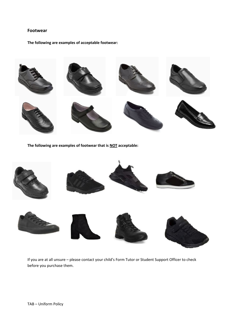#### **Footwear**

**The following are examples of acceptable footwear:**



**The following are examples of footwear that is NOT acceptable:**



If you are at all unsure – please contact your child's Form Tutor or Student Support Officer to check before you purchase them.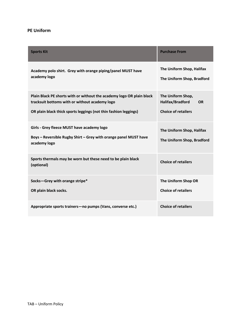### **PE Uniform**

| <b>Sports Kit</b>                                                                                                                                                                           | <b>Purchase From</b>                                                             |
|---------------------------------------------------------------------------------------------------------------------------------------------------------------------------------------------|----------------------------------------------------------------------------------|
| Academy polo shirt. Grey with orange piping/panel MUST have<br>academy logo                                                                                                                 | The Uniform Shop, Halifax<br>The Uniform Shop, Bradford                          |
| Plain Black PE shorts with or without the academy logo OR plain black<br>tracksuit bottoms with or without academy logo<br>OR plain black thick sports leggings (not thin fashion leggings) | The Uniform Shop,<br>Halifax/Bradford<br><b>OR</b><br><b>Choice of retailers</b> |
| Girls - Grey fleece MUST have academy logo<br>Boys - Reversible Rugby Shirt - Grey with orange panel MUST have<br>academy logo                                                              | The Uniform Shop, Halifax<br>The Uniform Shop, Bradford                          |
| Sports thermals may be worn but these need to be plain black<br>(optional)                                                                                                                  | <b>Choice of retailers</b>                                                       |
| Socks-Grey with orange stripe*<br>OR plain black socks.                                                                                                                                     | The Uniform Shop OR<br><b>Choice of retailers</b>                                |
| Appropriate sports trainers-no pumps (Vans, converse etc.)                                                                                                                                  | <b>Choice of retailers</b>                                                       |